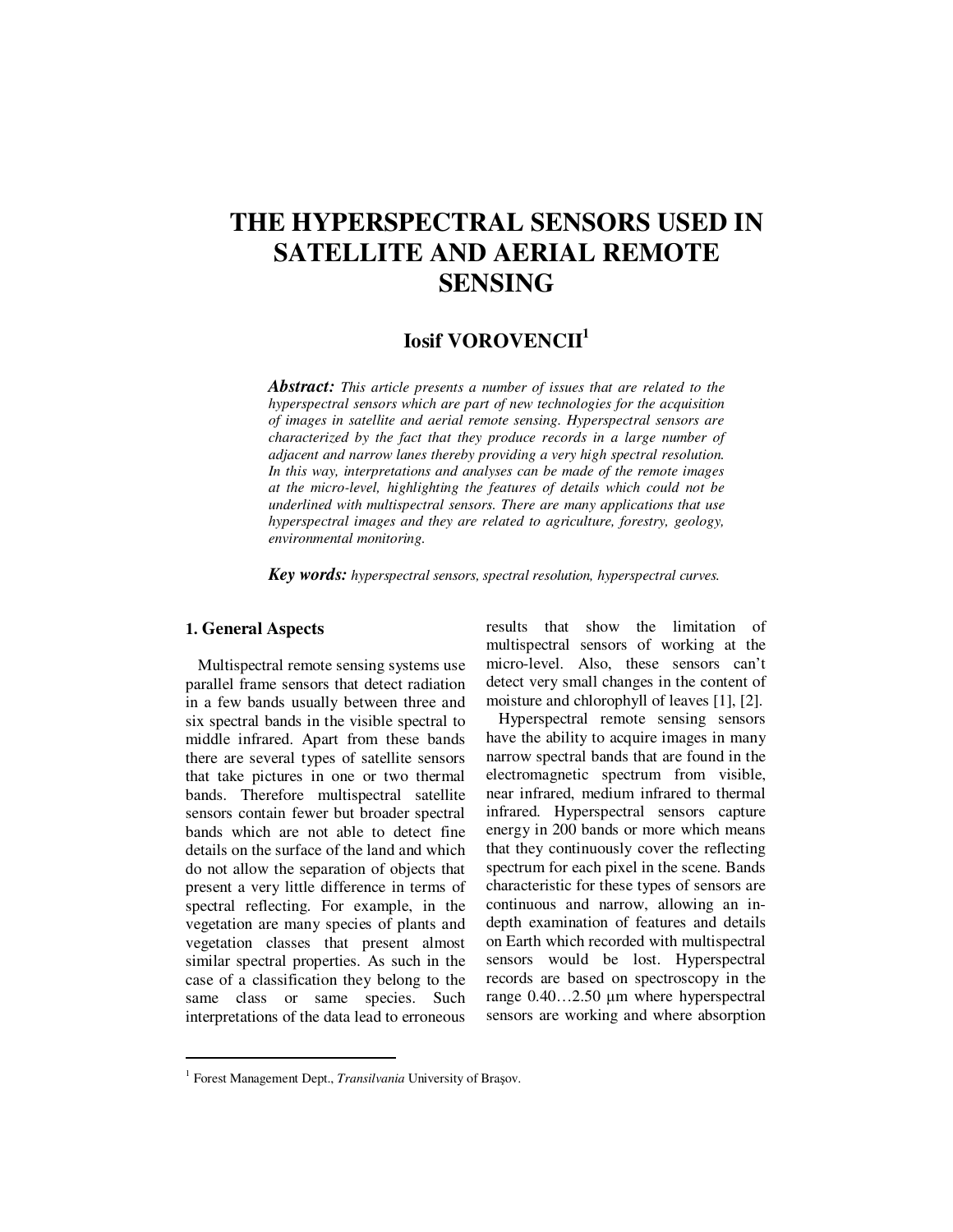# **THE HYPERSPECTRAL SENSORS USED IN SATELLITE AND AERIAL REMOTE SENSING**

## **Iosif VOROVENCII<sup>1</sup>**

*Abstract: This article presents a number of issues that are related to the hyperspectral sensors which are part of new technologies for the acquisition of images in satellite and aerial remote sensing. Hyperspectral sensors are characterized by the fact that they produce records in a large number of adjacent and narrow lanes thereby providing a very high spectral resolution. In this way, interpretations and analyses can be made of the remote images at the micro-level, highlighting the features of details which could not be underlined with multispectral sensors. There are many applications that use hyperspectral images and they are related to agriculture, forestry, geology, environmental monitoring.* 

*Key words: hyperspectral sensors, spectral resolution, hyperspectral curves.*

### **1. General Aspects**

 $\ddot{ }$ 

Multispectral remote sensing systems use parallel frame sensors that detect radiation in a few bands usually between three and six spectral bands in the visible spectral to middle infrared. Apart from these bands there are several types of satellite sensors that take pictures in one or two thermal bands. Therefore multispectral satellite sensors contain fewer but broader spectral bands which are not able to detect fine details on the surface of the land and which do not allow the separation of objects that present a very little difference in terms of spectral reflecting. For example, in the vegetation are many species of plants and vegetation classes that present almost similar spectral properties. As such in the case of a classification they belong to the same class or same species. Such interpretations of the data lead to erroneous results that show the limitation of multispectral sensors of working at the micro-level. Also, these sensors can't detect very small changes in the content of moisture and chlorophyll of leaves [1], [2].

Hyperspectral remote sensing sensors have the ability to acquire images in many narrow spectral bands that are found in the electromagnetic spectrum from visible, near infrared, medium infrared to thermal infrared. Hyperspectral sensors capture energy in 200 bands or more which means that they continuously cover the reflecting spectrum for each pixel in the scene. Bands characteristic for these types of sensors are continuous and narrow, allowing an indepth examination of features and details on Earth which recorded with multispectral sensors would be lost. Hyperspectral records are based on spectroscopy in the range 0.40…2.50 µm where hyperspectral sensors are working and where absorption

<sup>&</sup>lt;sup>1</sup> Forest Management Dept., *Transilvania* University of Brașov.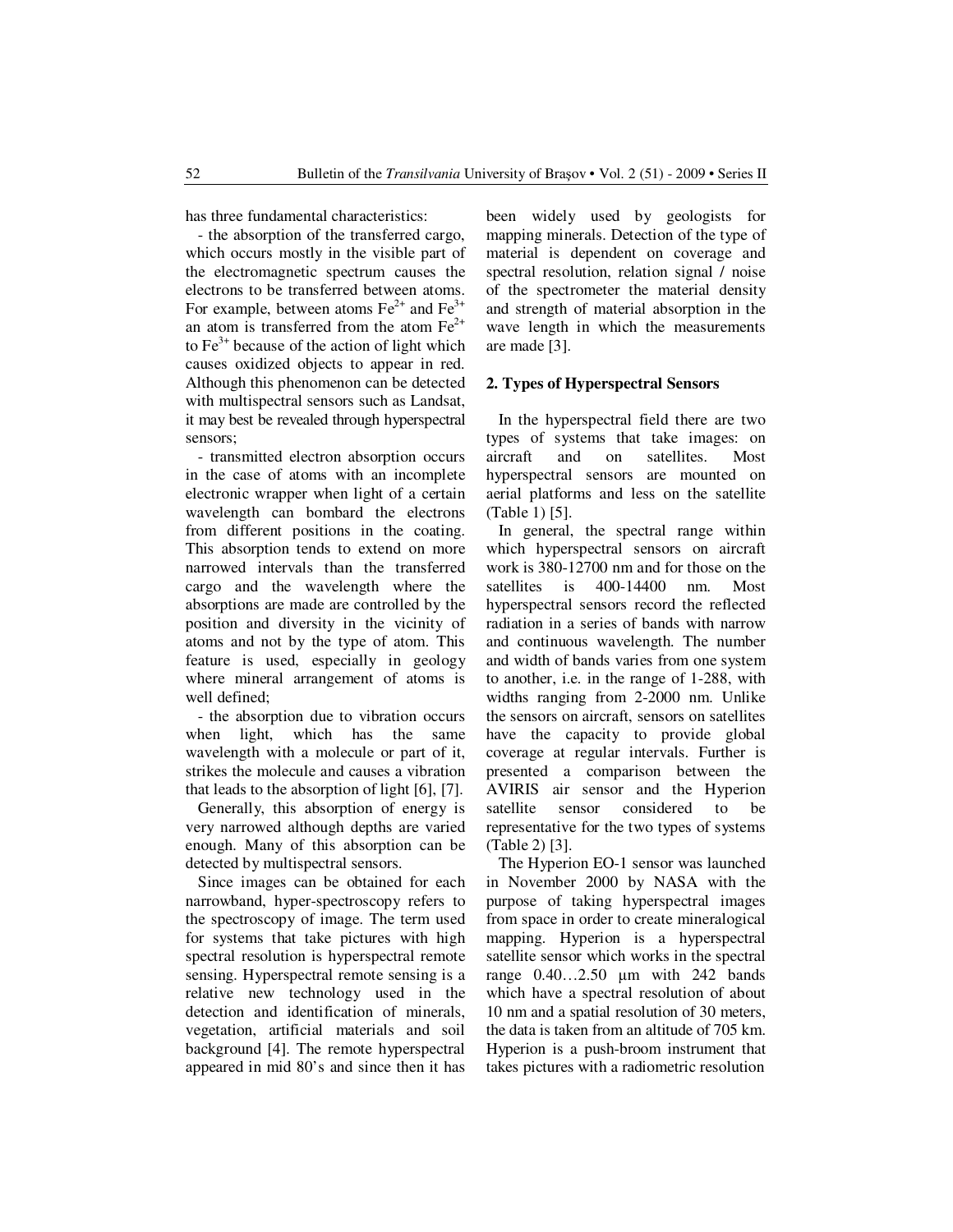has three fundamental characteristics:

- the absorption of the transferred cargo, which occurs mostly in the visible part of the electromagnetic spectrum causes the electrons to be transferred between atoms. For example, between atoms  $Fe^{2+}$  and  $Fe^{3+}$ an atom is transferred from the atom  $Fe^{2+}$ to  $Fe<sup>3+</sup>$  because of the action of light which causes oxidized objects to appear in red. Although this phenomenon can be detected with multispectral sensors such as Landsat, it may best be revealed through hyperspectral sensors;

- transmitted electron absorption occurs in the case of atoms with an incomplete electronic wrapper when light of a certain wavelength can bombard the electrons from different positions in the coating. This absorption tends to extend on more narrowed intervals than the transferred cargo and the wavelength where the absorptions are made are controlled by the position and diversity in the vicinity of atoms and not by the type of atom. This feature is used, especially in geology where mineral arrangement of atoms is well defined;

- the absorption due to vibration occurs when light, which has the same wavelength with a molecule or part of it, strikes the molecule and causes a vibration that leads to the absorption of light [6], [7].

Generally, this absorption of energy is very narrowed although depths are varied enough. Many of this absorption can be detected by multispectral sensors.

Since images can be obtained for each narrowband, hyper-spectroscopy refers to the spectroscopy of image. The term used for systems that take pictures with high spectral resolution is hyperspectral remote sensing. Hyperspectral remote sensing is a relative new technology used in the detection and identification of minerals, vegetation, artificial materials and soil background [4]. The remote hyperspectral appeared in mid 80's and since then it has been widely used by geologists for mapping minerals. Detection of the type of material is dependent on coverage and spectral resolution, relation signal / noise of the spectrometer the material density and strength of material absorption in the wave length in which the measurements are made [3].

#### **2. Types of Hyperspectral Sensors**

In the hyperspectral field there are two types of systems that take images: on aircraft and on satellites. Most hyperspectral sensors are mounted on aerial platforms and less on the satellite (Table 1) [5].

In general, the spectral range within which hyperspectral sensors on aircraft work is 380-12700 nm and for those on the satellites is 400-14400 nm. Most hyperspectral sensors record the reflected radiation in a series of bands with narrow and continuous wavelength. The number and width of bands varies from one system to another, i.e. in the range of 1-288, with widths ranging from 2-2000 nm. Unlike the sensors on aircraft, sensors on satellites have the capacity to provide global coverage at regular intervals. Further is presented a comparison between the AVIRIS air sensor and the Hyperion satellite sensor considered to be representative for the two types of systems (Table 2) [3].

The Hyperion EO-1 sensor was launched in November 2000 by NASA with the purpose of taking hyperspectral images from space in order to create mineralogical mapping. Hyperion is a hyperspectral satellite sensor which works in the spectral range 0.40…2.50 µm with 242 bands which have a spectral resolution of about 10 nm and a spatial resolution of 30 meters, the data is taken from an altitude of 705 km. Hyperion is a push-broom instrument that takes pictures with a radiometric resolution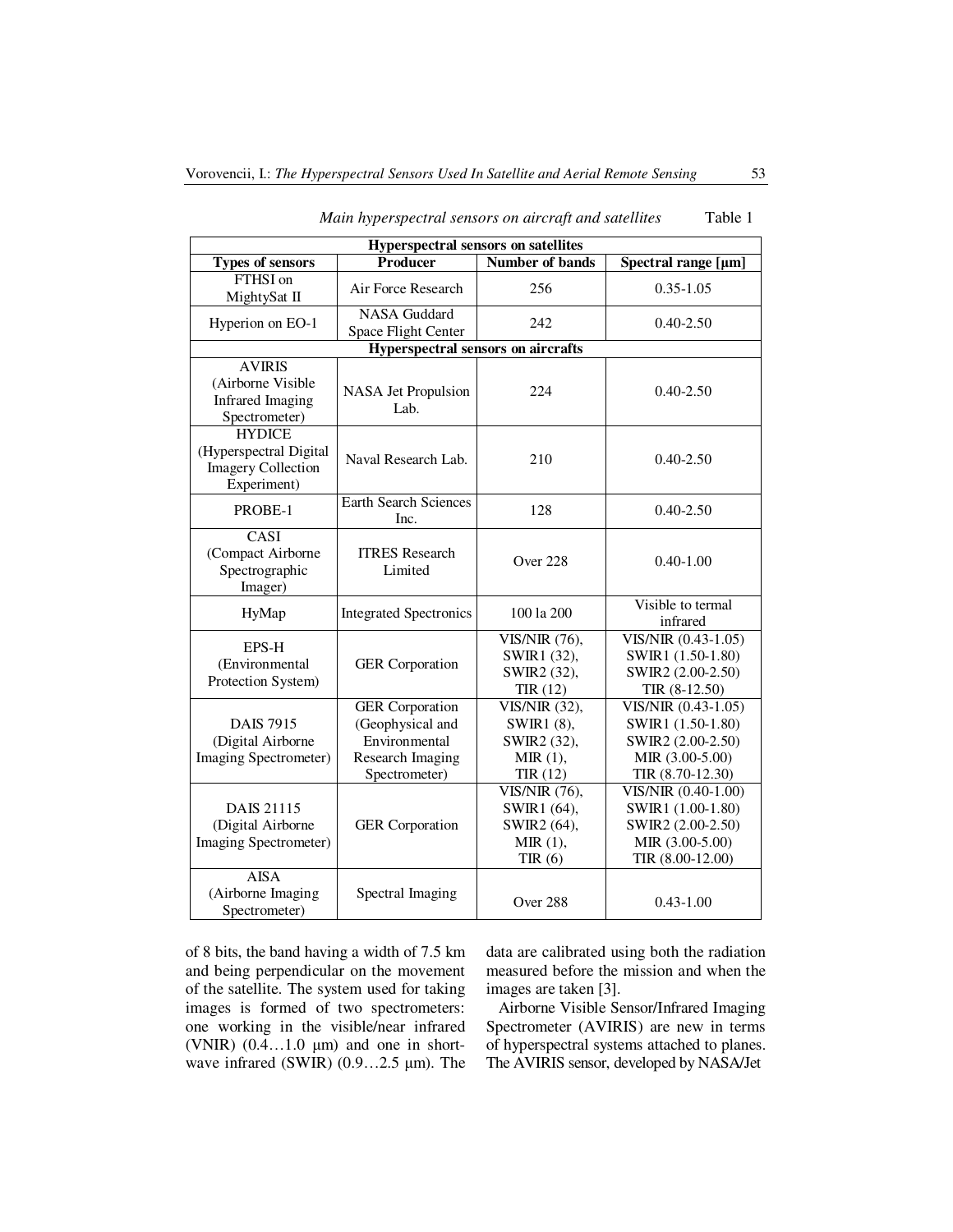| <b>Hyperspectral sensors on satellites</b>                                                |                                                                                                         |                                                                         |                                                                                                      |  |  |  |
|-------------------------------------------------------------------------------------------|---------------------------------------------------------------------------------------------------------|-------------------------------------------------------------------------|------------------------------------------------------------------------------------------------------|--|--|--|
| <b>Types of sensors</b>                                                                   | <b>Producer</b>                                                                                         | <b>Number of bands</b>                                                  | Spectral range [µm]                                                                                  |  |  |  |
| FTHSI on<br>MightySat II                                                                  | Air Force Research                                                                                      | 256                                                                     | $0.35 - 1.05$                                                                                        |  |  |  |
| Hyperion on EO-1                                                                          | <b>NASA</b> Guddard<br>Space Flight Center                                                              |                                                                         | $0.40 - 2.50$                                                                                        |  |  |  |
|                                                                                           | <b>Hyperspectral sensors on aircrafts</b>                                                               |                                                                         |                                                                                                      |  |  |  |
| <b>AVIRIS</b><br>(Airborne Visible<br><b>Infrared Imaging</b><br>Spectrometer)            | 224<br>NASA Jet Propulsion<br>Lab.                                                                      |                                                                         | $0.40 - 2.50$                                                                                        |  |  |  |
| <b>HYDICE</b><br>(Hyperspectral Digital<br><b>Imagery Collection</b><br>Experiment)       | Naval Research Lab.                                                                                     | 210                                                                     | $0.40 - 2.50$                                                                                        |  |  |  |
| PROBE-1                                                                                   | <b>Earth Search Sciences</b><br>Inc.                                                                    | 128                                                                     | $0.40 - 2.50$                                                                                        |  |  |  |
| CASI<br>(Compact Airborne<br>Spectrographic<br>Imager)                                    | <b>ITRES</b> Research<br>Limited                                                                        | Over 228                                                                | $0.40 - 1.00$                                                                                        |  |  |  |
| HyMap                                                                                     | <b>Integrated Spectronics</b>                                                                           | 100 la 200                                                              | Visible to termal<br>infrared                                                                        |  |  |  |
| EPS-H<br>(Environmental<br>Protection System)                                             | <b>GER</b> Corporation                                                                                  |                                                                         | VIS/NIR (0.43-1.05)<br>SWIR1 (1.50-1.80)<br>SWIR2 (2.00-2.50)<br>TIR (8-12.50)                       |  |  |  |
| <b>DAIS 7915</b><br>(Digital Airborne<br>Imaging Spectrometer)                            | <b>GER</b> Corporation<br>(Geophysical and<br>Environmental<br><b>Research Imaging</b><br>Spectrometer) | VIS/NIR (32),<br>SWIR1 (8),<br>SWIR2 (32),<br>MIR(1),<br>TIR(12)        | VIS/NIR (0.43-1.05)<br>SWIR1 (1.50-1.80)<br>SWIR2 (2.00-2.50)<br>MIR (3.00-5.00)<br>TIR (8.70-12.30) |  |  |  |
| <b>DAIS 21115</b><br>(Digital Airborne<br><b>GER</b> Corporation<br>Imaging Spectrometer) |                                                                                                         | <b>VIS/NIR</b> (76),<br>SWIR1 (64),<br>SWIR2 (64),<br>MIR(1),<br>TIR(6) | VIS/NIR (0.40-1.00)<br>SWIR1 (1.00-1.80)<br>SWIR2 (2.00-2.50)<br>MIR (3.00-5.00)<br>TIR (8.00-12.00) |  |  |  |
| <b>AISA</b><br>(Airborne Imaging<br>Spectral Imaging<br>Spectrometer)                     |                                                                                                         | Over 288                                                                | $0.43 - 1.00$                                                                                        |  |  |  |

|  | Main hyperspectral sensors on aircraft and satellites |  |  |  | Table 1 |
|--|-------------------------------------------------------|--|--|--|---------|
|--|-------------------------------------------------------|--|--|--|---------|

of 8 bits, the band having a width of 7.5 km and being perpendicular on the movement of the satellite. The system used for taking images is formed of two spectrometers: one working in the visible/near infrared (VNIR)  $(0.4...1.0 \mu m)$  and one in shortwave infrared (SWIR) (0.9…2.5 µm). The data are calibrated using both the radiation measured before the mission and when the images are taken [3].

Airborne Visible Sensor/Infrared Imaging Spectrometer (AVIRIS) are new in terms of hyperspectral systems attached to planes. The AVIRIS sensor, developed by NASA/Jet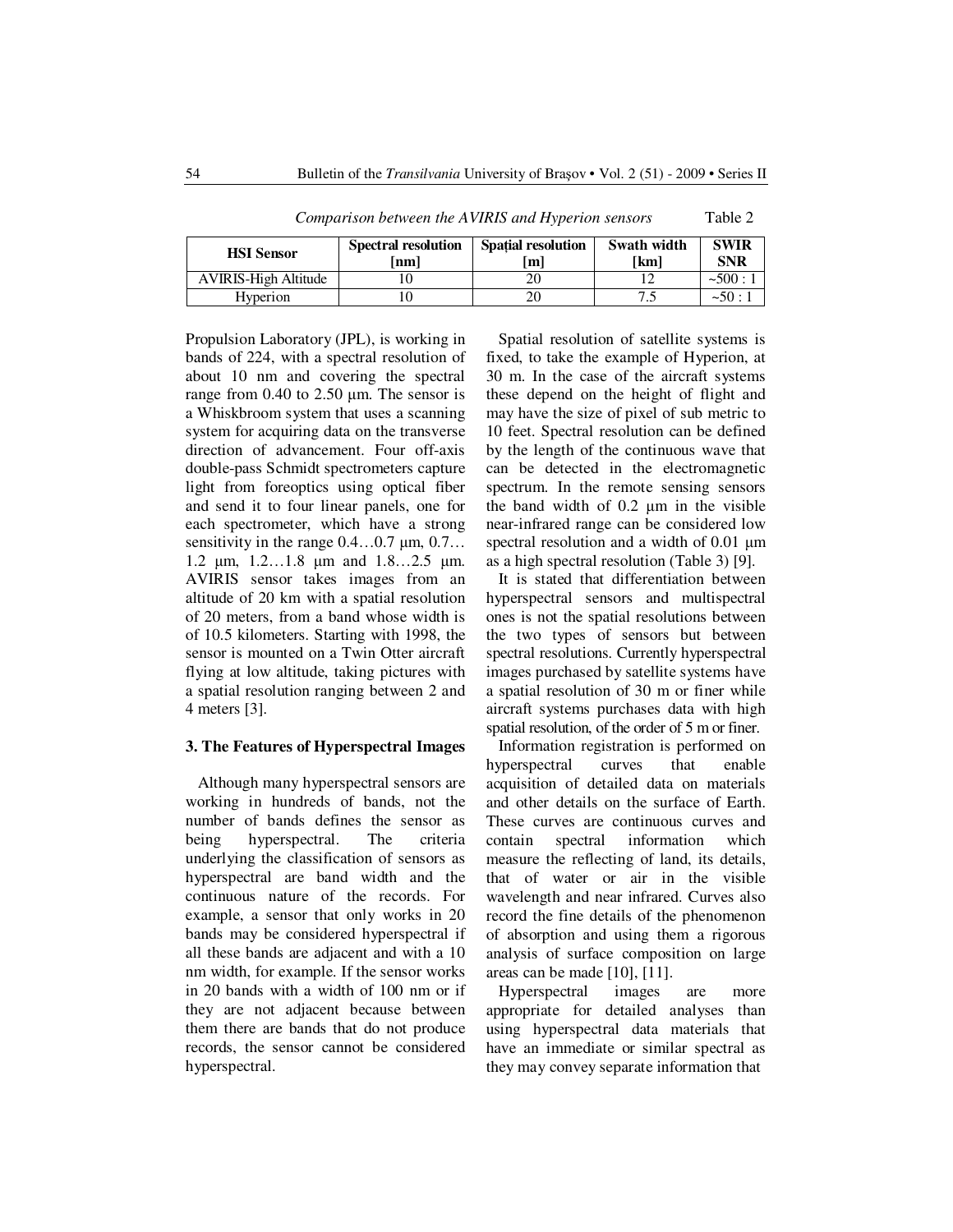| <b>HSI</b> Sensor           | <b>Spectral resolution</b><br> nm | <b>Spatial resolution</b><br>m | Swath width<br>  km | <b>SWIR</b><br><b>SNR</b> |  |
|-----------------------------|-----------------------------------|--------------------------------|---------------------|---------------------------|--|
| <b>AVIRIS-High Altitude</b> |                                   |                                |                     | ~500:1                    |  |
| Hyperion                    |                                   |                                |                     | ~1                        |  |

*Comparison between the AVIRIS and Hyperion sensors* Table 2

Propulsion Laboratory (JPL), is working in bands of 224, with a spectral resolution of about 10 nm and covering the spectral range from  $0.40$  to  $2.50 \mu m$ . The sensor is a Whiskbroom system that uses a scanning system for acquiring data on the transverse direction of advancement. Four off-axis double-pass Schmidt spectrometers capture light from foreoptics using optical fiber and send it to four linear panels, one for each spectrometer, which have a strong sensitivity in the range  $0.4...0.7$  µm,  $0.7...$ 1.2 µm, 1.2…1.8 µm and 1.8…2.5 µm. AVIRIS sensor takes images from an altitude of 20 km with a spatial resolution of 20 meters, from a band whose width is of 10.5 kilometers. Starting with 1998, the sensor is mounted on a Twin Otter aircraft flying at low altitude, taking pictures with a spatial resolution ranging between 2 and 4 meters [3].

#### **3. The Features of Hyperspectral Images**

Although many hyperspectral sensors are working in hundreds of bands, not the number of bands defines the sensor as<br>being hyperspectral. The criteria hyperspectral. The criteria underlying the classification of sensors as hyperspectral are band width and the continuous nature of the records. For example, a sensor that only works in 20 bands may be considered hyperspectral if all these bands are adjacent and with a 10 nm width, for example. If the sensor works in 20 bands with a width of 100 nm or if they are not adjacent because between them there are bands that do not produce records, the sensor cannot be considered hyperspectral.

Spatial resolution of satellite systems is fixed, to take the example of Hyperion, at 30 m. In the case of the aircraft systems these depend on the height of flight and may have the size of pixel of sub metric to 10 feet. Spectral resolution can be defined by the length of the continuous wave that can be detected in the electromagnetic spectrum. In the remote sensing sensors the band width of 0.2 µm in the visible near-infrared range can be considered low spectral resolution and a width of 0.01  $\mu$ m as a high spectral resolution (Table 3) [9].

It is stated that differentiation between hyperspectral sensors and multispectral ones is not the spatial resolutions between the two types of sensors but between spectral resolutions. Currently hyperspectral images purchased by satellite systems have a spatial resolution of 30 m or finer while aircraft systems purchases data with high spatial resolution, of the order of 5 m or finer.

Information registration is performed on hyperspectral curves that enable acquisition of detailed data on materials and other details on the surface of Earth. These curves are continuous curves and contain spectral information which measure the reflecting of land, its details, that of water or air in the visible wavelength and near infrared. Curves also record the fine details of the phenomenon of absorption and using them a rigorous analysis of surface composition on large areas can be made [10], [11].

Hyperspectral images are more appropriate for detailed analyses than using hyperspectral data materials that have an immediate or similar spectral as they may convey separate information that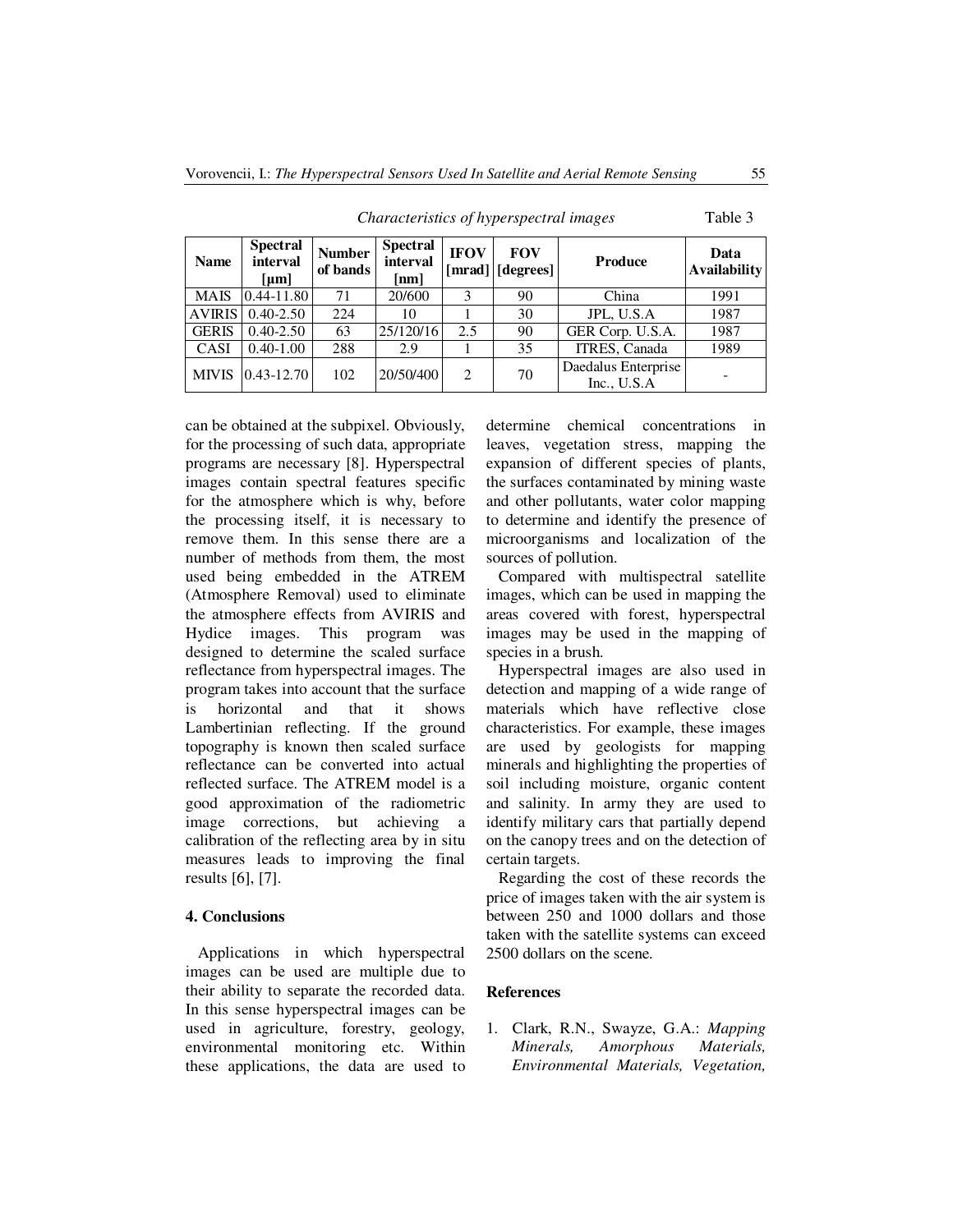| <b>Name</b>   | <b>Spectral</b><br>interval<br>[µm] | <b>Number</b><br>of bands | <b>Spectral</b><br>interval<br>[nm] | <b>IFOV</b><br>[mrad] | <b>FOV</b><br>[degrees] | <b>Produce</b>                       | Data<br><b>Availability</b> |
|---------------|-------------------------------------|---------------------------|-------------------------------------|-----------------------|-------------------------|--------------------------------------|-----------------------------|
| <b>MAIS</b>   | $0.44 - 11.80$                      | 71                        | 20/600                              | 3                     | 90                      | China                                | 1991                        |
| <b>AVIRIS</b> | $0.40 - 2.50$                       | 224                       | 10                                  |                       | 30                      | JPL, U.S.A                           | 1987                        |
| <b>GERIS</b>  | $0.40 - 2.50$                       | 63                        | 25/120/16                           | 2.5                   | 90                      | GER Corp. U.S.A.                     | 1987                        |
| <b>CASI</b>   | $0.40 - 1.00$                       | 288                       | 2.9                                 |                       | 35                      | ITRES, Canada                        | 1989                        |
| <b>MIVIS</b>  | $0.43 - 12.70$                      | 102                       | 20/50/400                           | $\overline{2}$        | 70                      | Daedalus Enterprise<br>Inc., $U.S.A$ |                             |

*Characteristics of hyperspectral images* Table 3

can be obtained at the subpixel. Obviously, for the processing of such data, appropriate programs are necessary [8]. Hyperspectral images contain spectral features specific for the atmosphere which is why, before the processing itself, it is necessary to remove them. In this sense there are a number of methods from them, the most used being embedded in the ATREM (Atmosphere Removal) used to eliminate the atmosphere effects from AVIRIS and Hydice images. This program was designed to determine the scaled surface reflectance from hyperspectral images. The program takes into account that the surface is horizontal and that it shows Lambertinian reflecting. If the ground topography is known then scaled surface reflectance can be converted into actual reflected surface. The ATREM model is a good approximation of the radiometric image corrections, but achieving a calibration of the reflecting area by in situ measures leads to improving the final results [6], [7].

#### **4. Conclusions**

Applications in which hyperspectral images can be used are multiple due to their ability to separate the recorded data. In this sense hyperspectral images can be used in agriculture, forestry, geology, environmental monitoring etc. Within these applications, the data are used to determine chemical concentrations in leaves, vegetation stress, mapping the expansion of different species of plants, the surfaces contaminated by mining waste and other pollutants, water color mapping to determine and identify the presence of microorganisms and localization of the sources of pollution.

Compared with multispectral satellite images, which can be used in mapping the areas covered with forest, hyperspectral images may be used in the mapping of species in a brush.

Hyperspectral images are also used in detection and mapping of a wide range of materials which have reflective close characteristics. For example, these images are used by geologists for mapping minerals and highlighting the properties of soil including moisture, organic content and salinity. In army they are used to identify military cars that partially depend on the canopy trees and on the detection of certain targets.

Regarding the cost of these records the price of images taken with the air system is between 250 and 1000 dollars and those taken with the satellite systems can exceed 2500 dollars on the scene.

#### **References**

1. Clark, R.N., Swayze, G.A.: *Mapping Minerals, Amorphous Materials, Environmental Materials, Vegetation,*